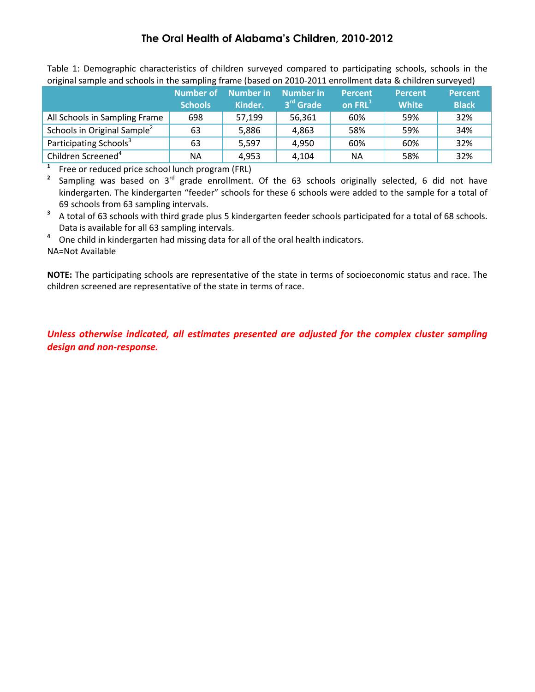| original sample and schools in the sampling frame (based on 2010-2011 enrollment data & children surveyed) |                                    |                             |                                    |                                       |                                |                                |  |  |
|------------------------------------------------------------------------------------------------------------|------------------------------------|-----------------------------|------------------------------------|---------------------------------------|--------------------------------|--------------------------------|--|--|
|                                                                                                            | <b>Number of</b><br><b>Schools</b> | <b>Number in</b><br>Kinder. | Number in<br>3 <sup>rd</sup> Grade | <b>Percent</b><br>on FRL <sup>1</sup> | <b>Percent</b><br><b>White</b> | <b>Percent</b><br><b>Black</b> |  |  |
| All Schools in Sampling Frame                                                                              | 698                                | 57,199                      | 56,361                             | 60%                                   | 59%                            | 32%                            |  |  |
| Schools in Original Sample <sup>2</sup>                                                                    | 63                                 | 5,886                       | 4,863                              | 58%                                   | 59%                            | 34%                            |  |  |
| Participating Schools <sup>3</sup>                                                                         | 63                                 | 5,597                       | 4,950                              | 60%                                   | 60%                            | 32%                            |  |  |
| Children Screened <sup>4</sup>                                                                             | NА                                 | 4,953                       | 4,104                              | ΝA                                    | 58%                            | 32%                            |  |  |

Table 1: Demographic characteristics of children surveyed compared to participating schools, schools in the original sample and schools in the sampling frame (based on 2010-2011 enrollment data & children surveyed)

**1** <sup>1</sup> Free or reduced price school lunch program (FRL)<sup>2</sup> Sampling, was based on  $2^{rd}$  grade enrollment.

Sampling was based on 3<sup>rd</sup> grade enrollment. Of the 63 schools originally selected, 6 did not have kindergarten. The kindergarten "feeder" schools for these 6 schools were added to the sample for a total of 69 schools from 63 sampling intervals.

**<sup>3</sup>**A total of 63 schools with third grade plus 5 kindergarten feeder schools participated for a total of 68 schools. Data is available for all 63 sampling intervals.

<sup>4</sup> One child in kindergarten had missing data for all of the oral health indicators. NA=Not Available

**NOTE:** The participating schools are representative of the state in terms of socioeconomic status and race. The children screened are representative of the state in terms of race.

*Unless otherwise indicated, all estimates presented are adjusted for the complex cluster sampling design and non-response.*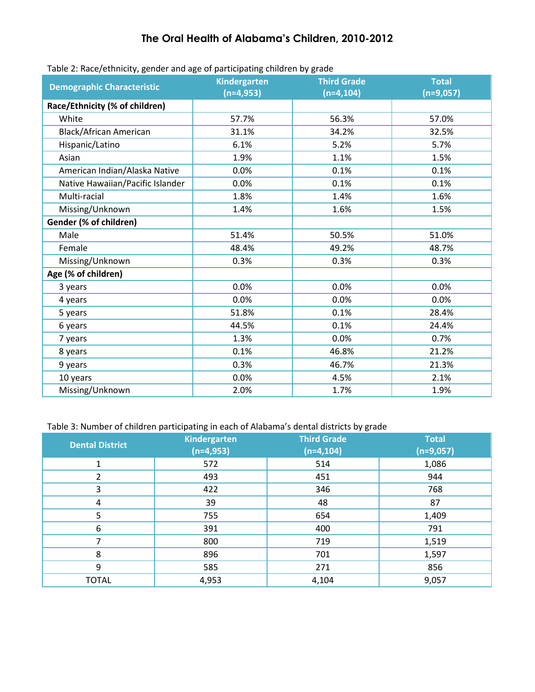| rabic 2. Racc/ cennicity, Schucr and age or participating critici cri by grade |                     |                    |              |
|--------------------------------------------------------------------------------|---------------------|--------------------|--------------|
| <b>Demographic Characteristic</b>                                              | <b>Kindergarten</b> | <b>Third Grade</b> | <b>Total</b> |
|                                                                                | $(n=4,953)$         | $(n=4, 104)$       | $(n=9,057)$  |
| Race/Ethnicity (% of children)                                                 |                     |                    |              |
| White                                                                          | 57.7%               | 56.3%              | 57.0%        |
| <b>Black/African American</b>                                                  | 31.1%               | 34.2%              | 32.5%        |
| Hispanic/Latino                                                                | 6.1%                | 5.2%               | 5.7%         |
| Asian                                                                          | 1.9%                | 1.1%               | 1.5%         |
| American Indian/Alaska Native                                                  | 0.0%                | 0.1%               | 0.1%         |
| Native Hawaiian/Pacific Islander                                               | 0.0%                | 0.1%               | 0.1%         |
| Multi-racial                                                                   | 1.8%                | 1.4%               | 1.6%         |
| Missing/Unknown                                                                | 1.4%                | 1.6%               | 1.5%         |
| Gender (% of children)                                                         |                     |                    |              |
| Male                                                                           | 51.4%               | 50.5%              | 51.0%        |
| Female                                                                         | 48.4%               | 49.2%              | 48.7%        |
| Missing/Unknown                                                                | 0.3%                | 0.3%               | 0.3%         |
| Age (% of children)                                                            |                     |                    |              |
| 3 years                                                                        | 0.0%                | 0.0%               | 0.0%         |
| 4 years                                                                        | 0.0%                | 0.0%               | 0.0%         |
| 5 years                                                                        | 51.8%               | 0.1%               | 28.4%        |
| 6 years                                                                        | 44.5%               | 0.1%               | 24.4%        |
| 7 years                                                                        | 1.3%                | 0.0%               | 0.7%         |
| 8 years                                                                        | 0.1%                | 46.8%              | 21.2%        |
| 9 years                                                                        | 0.3%                | 46.7%              | 21.3%        |
| 10 years                                                                       | 0.0%                | 4.5%               | 2.1%         |
| Missing/Unknown                                                                | 2.0%                | 1.7%               | 1.9%         |

#### Table 2: Race/ethnicity, gender and age of participating children by grade

#### Table 3: Number of children participating in each of Alabama's dental districts by grade

| <b>Dental District</b> | <b>Kindergarten</b><br>$(n=4,953)$ | <b>Third Grade</b><br>$(n=4, 104)$ | <b>Total</b><br>$(n=9,057)$ |
|------------------------|------------------------------------|------------------------------------|-----------------------------|
| 1                      | 572                                | 514                                | 1,086                       |
| 2                      | 493                                | 451                                | 944                         |
| 3                      | 422                                | 346                                | 768                         |
| 4                      | 39                                 | 48                                 | 87                          |
| 5                      | 755                                | 654                                | 1,409                       |
| 6                      | 391                                | 400                                | 791                         |
| ⇁                      | 800                                | 719                                | 1,519                       |
| 8                      | 896                                | 701                                | 1,597                       |
| 9                      | 585                                | 271                                | 856                         |
| <b>TOTAL</b>           | 4,953                              | 4,104                              | 9,057                       |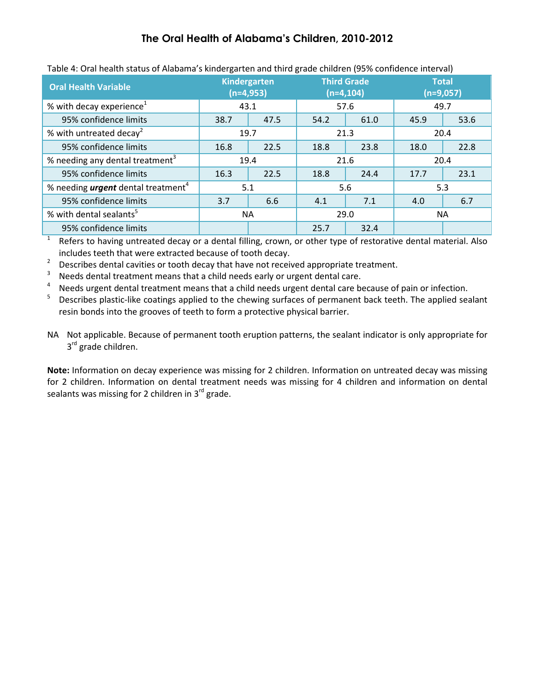| Table 4. Oral Health Status of Alabania's Kindergalten and third grade Children (9576 Connuence interval) |                                    |      |                                    |      |                             |      |
|-----------------------------------------------------------------------------------------------------------|------------------------------------|------|------------------------------------|------|-----------------------------|------|
| <b>Oral Health Variable</b>                                                                               | <b>Kindergarten</b><br>$(n=4,953)$ |      | <b>Third Grade</b><br>$(n=4, 104)$ |      | <b>Total</b><br>$(n=9,057)$ |      |
| % with decay experience <sup>1</sup>                                                                      | 43.1                               |      | 57.6                               |      | 49.7                        |      |
| 95% confidence limits                                                                                     | 38.7                               | 47.5 | 54.2                               | 61.0 | 45.9                        | 53.6 |
| % with untreated decay <sup>2</sup>                                                                       | 19.7                               |      | 21.3                               |      | 20.4                        |      |
| 95% confidence limits                                                                                     | 16.8                               | 22.5 | 18.8                               | 23.8 | 18.0                        | 22.8 |
| % needing any dental treatment <sup>3</sup>                                                               | 19.4                               |      | 21.6                               |      | 20.4                        |      |
| 95% confidence limits                                                                                     | 16.3                               | 22.5 | 18.8                               | 24.4 | 17.7                        | 23.1 |
| % needing <i>urgent</i> dental treatment <sup>4</sup>                                                     | 5.1                                |      | 5.6                                |      | 5.3                         |      |
| 95% confidence limits                                                                                     | 3.7                                | 6.6  | 4.1                                | 7.1  | 4.0                         | 6.7  |
| % with dental sealants <sup>5</sup>                                                                       | NA.                                |      | 29.0                               |      | <b>NA</b>                   |      |
| 95% confidence limits                                                                                     |                                    |      | 25.7                               | 32.4 |                             |      |

### Table 4: Oral health status of Alabama's kindergarten and third grade children (95% confidence interval)

1 Refers to having untreated decay or a dental filling, crown, or other type of restorative dental material. Also includes teeth that were extracted because of tooth decay.

2  $\frac{2}{3}$  Describes dental cavities or tooth decay that have not received appropriate treatment.<br>3 Needs dental treatment means that a child needs early or urgent dental care

Needs dental treatment means that a child needs early or urgent dental care.

4 Needs urgent dental treatment means that a child needs urgent dental care because of pain or infection.

5 Describes plastic-like coatings applied to the chewing surfaces of permanent back teeth. The applied sealant resin bonds into the grooves of teeth to form a protective physical barrier.

NA Not applicable. Because of permanent tooth eruption patterns, the sealant indicator is only appropriate for 3<sup>rd</sup> grade children.

**Note:** Information on decay experience was missing for 2 children. Information on untreated decay was missing for 2 children. Information on dental treatment needs was missing for 4 children and information on dental sealants was missing for 2 children in  $3^{rd}$  grade.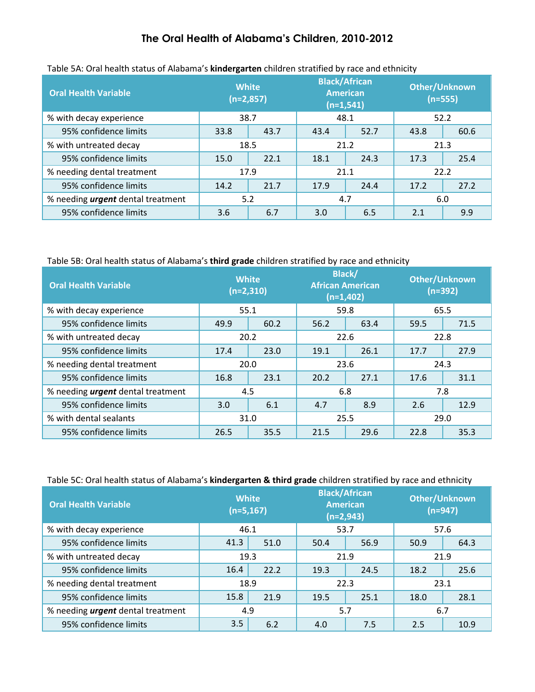| <b>Oral Health Variable</b>              | <b>White</b><br>$(n=2,857)$ |      | <b>Black/African</b><br><b>American</b><br>$(n=1,541)$ |      | <b>Other/Unknown</b><br>$(n=555)$ |      |  |
|------------------------------------------|-----------------------------|------|--------------------------------------------------------|------|-----------------------------------|------|--|
| % with decay experience                  | 38.7                        |      |                                                        | 48.1 |                                   | 52.2 |  |
| 95% confidence limits                    | 33.8                        | 43.7 | 43.4                                                   | 52.7 | 43.8                              | 60.6 |  |
| % with untreated decay                   | 18.5                        |      | 21.2                                                   |      | 21.3                              |      |  |
| 95% confidence limits                    | 15.0                        | 22.1 | 18.1                                                   | 24.3 | 17.3                              | 25.4 |  |
| % needing dental treatment               | 17.9                        |      |                                                        | 21.1 |                                   | 22.2 |  |
| 95% confidence limits                    | 14.2                        | 21.7 | 17.9                                                   | 24.4 | 17.2                              | 27.2 |  |
| % needing <i>urgent</i> dental treatment | 5.2                         |      | 4.7                                                    |      | 6.0                               |      |  |
| 95% confidence limits                    | 3.6                         | 6.7  | 3.0                                                    | 6.5  | 2.1                               | 9.9  |  |

#### Table 5A: Oral health status of Alabama's **kindergarten** children stratified by race and ethnicity

### Table 5B: Oral health status of Alabama's **third grade** children stratified by race and ethnicity

| <b>Oral Health Variable</b>              | <b>White</b><br>$(n=2,310)$ |      | <b>Black/</b><br><b>African American</b><br>$(n=1,402)$ |      | <b>Other/Unknown</b><br>$(n=392)$ |      |
|------------------------------------------|-----------------------------|------|---------------------------------------------------------|------|-----------------------------------|------|
| % with decay experience                  | 55.1                        |      |                                                         | 59.8 | 65.5                              |      |
| 95% confidence limits                    | 49.9                        | 60.2 | 56.2                                                    | 63.4 | 59.5                              | 71.5 |
| % with untreated decay                   | 20.2                        |      | 22.6                                                    |      | 22.8                              |      |
| 95% confidence limits                    | 17.4                        | 23.0 | 19.1                                                    | 26.1 | 17.7                              | 27.9 |
| % needing dental treatment               |                             | 20.0 | 23.6                                                    |      | 24.3                              |      |
| 95% confidence limits                    | 16.8                        | 23.1 | 20.2                                                    | 27.1 | 17.6                              | 31.1 |
| % needing <i>urgent</i> dental treatment | 4.5                         |      | 6.8                                                     |      | 7.8                               |      |
| 95% confidence limits                    | 3.0                         | 6.1  | 4.7                                                     | 8.9  | 2.6                               | 12.9 |
| % with dental sealants                   | 31.0                        |      | 25.5                                                    |      | 29.0                              |      |
| 95% confidence limits                    | 26.5                        | 35.5 | 21.5                                                    | 29.6 | 22.8                              | 35.3 |

### Table 5C: Oral health status of Alabama's **kindergarten & third grade** children stratified by race and ethnicity

| <b>Oral Health Variable</b>              | <b>White</b><br>$(n=5, 167)$ |      |      | <b>Black/African</b><br><b>American</b><br>$(n=2,943)$ | Other/Unknown<br>$(n=947)$ |      |  |
|------------------------------------------|------------------------------|------|------|--------------------------------------------------------|----------------------------|------|--|
| % with decay experience                  | 46.1                         |      | 53.7 |                                                        |                            | 57.6 |  |
| 95% confidence limits                    | 41.3                         | 51.0 | 50.4 | 56.9                                                   | 50.9                       | 64.3 |  |
| % with untreated decay                   | 19.3                         |      | 21.9 |                                                        | 21.9                       |      |  |
| 95% confidence limits                    | 16.4                         | 22.2 | 19.3 | 24.5                                                   | 18.2                       | 25.6 |  |
| % needing dental treatment               | 18.9                         |      | 22.3 |                                                        | 23.1                       |      |  |
| 95% confidence limits                    | 15.8                         | 21.9 | 19.5 | 25.1                                                   | 18.0                       | 28.1 |  |
| % needing <i>urgent</i> dental treatment | 4.9                          |      | 5.7  |                                                        | 6.7                        |      |  |
| 95% confidence limits                    | 3.5                          | 6.2  | 4.0  | 7.5                                                    | 2.5                        | 10.9 |  |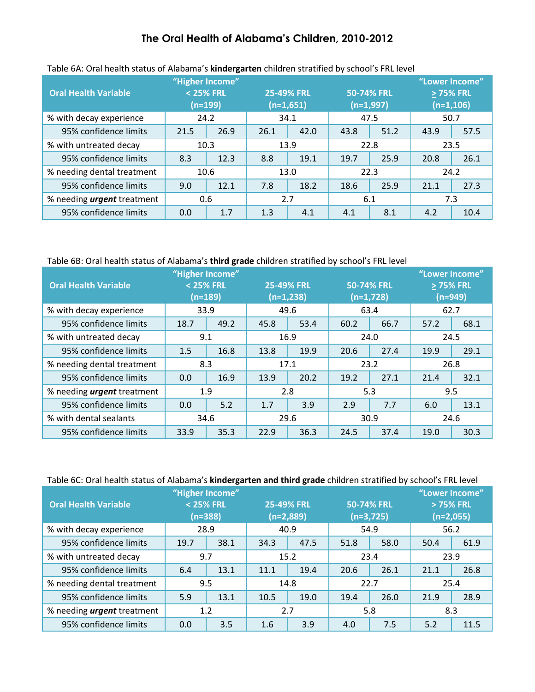| <b>Oral Health Variable</b>       |      | "Higher Income"<br>< 25% FRL<br>$(n=199)$ |      | <b>25-49% FRL</b><br>$(n=1,651)$ |      | 50-74% FRL<br>$(n=1,997)$ | "Lower Income"<br>> 75% FRL<br>$(n=1,106)$ |      |
|-----------------------------------|------|-------------------------------------------|------|----------------------------------|------|---------------------------|--------------------------------------------|------|
| % with decay experience           |      | 24.2                                      | 34.1 |                                  | 47.5 |                           | 50.7                                       |      |
| 95% confidence limits             | 21.5 | 26.9                                      | 26.1 | 42.0                             | 43.8 | 51.2                      | 43.9                                       | 57.5 |
| % with untreated decay            | 10.3 |                                           | 13.9 |                                  | 22.8 |                           | 23.5                                       |      |
| 95% confidence limits             | 8.3  | 12.3                                      | 8.8  | 19.1                             | 19.7 | 25.9                      | 20.8                                       | 26.1 |
| % needing dental treatment        |      | 10.6                                      |      | 13.0                             | 22.3 |                           | 24.2                                       |      |
| 95% confidence limits             | 9.0  | 12.1                                      | 7.8  | 18.2                             | 18.6 | 25.9                      | 21.1                                       | 27.3 |
| % needing <i>urgent</i> treatment |      | 0.6                                       | 2.7  |                                  | 6.1  |                           | 7.3                                        |      |
| 95% confidence limits             | 0.0  | 1.7                                       | 1.3  | 4.1                              | 4.1  | 8.1                       | 4.2                                        | 10.4 |

### Table 6A: Oral health status of Alabama's **kindergarten** children stratified by school's FRL level

#### Table 6B: Oral health status of Alabama's **third grade** children stratified by school's FRL level

| <b>Oral Health Variable</b>       | "Higher Income"<br>$<$ 25% FRL | $(n=189)$ | <b>25-49% FRL</b><br>$(n=1,238)$ |      | 50-74% FRL<br>$(n=1,728)$ |      | "Lower Income"<br>> 75% FRL<br>$(n=949)$ |      |
|-----------------------------------|--------------------------------|-----------|----------------------------------|------|---------------------------|------|------------------------------------------|------|
| % with decay experience           | 33.9                           |           | 49.6                             |      | 63.4                      |      | 62.7                                     |      |
| 95% confidence limits             | 18.7                           | 49.2      | 45.8                             | 53.4 | 60.2                      | 66.7 | 57.2                                     | 68.1 |
| % with untreated decay            | 9.1                            |           | 16.9                             |      | 24.0                      |      | 24.5                                     |      |
| 95% confidence limits             | 1.5                            | 16.8      | 13.8                             | 19.9 | 20.6                      | 27.4 | 19.9                                     | 29.1 |
| % needing dental treatment        |                                | 8.3       | 17.1                             |      | 23.2                      |      | 26.8                                     |      |
| 95% confidence limits             | 0.0                            | 16.9      | 13.9                             | 20.2 | 19.2                      | 27.1 | 21.4                                     | 32.1 |
| % needing <i>urgent</i> treatment |                                | 1.9       | 2.8                              |      | 5.3                       |      | 9.5                                      |      |
| 95% confidence limits             | 0.0                            | 5.2       | 1.7                              | 3.9  | 2.9                       | 7.7  | 6.0                                      | 13.1 |
| % with dental sealants            |                                | 34.6      | 29.6                             |      | 30.9                      |      | 24.6                                     |      |
| 95% confidence limits             | 33.9                           | 35.3      | 22.9                             | 36.3 | 24.5                      | 37.4 | 19.0                                     | 30.3 |

#### Table 6C: Oral health status of Alabama's **kindergarten and third grade** children stratified by school's FRL level

| <b>Oral Health Variable</b>       |      | "Higher Income"<br>< 25% FRL<br>$(n=388)$ | 25-49% FRL | (n=2,889) |      | 50-74% FRL<br>$(n=3,725)$ |      | "Lower Income"<br>> 75% FRL<br>$(n=2,055)$ |
|-----------------------------------|------|-------------------------------------------|------------|-----------|------|---------------------------|------|--------------------------------------------|
| % with decay experience           |      | 28.9                                      | 40.9       |           |      | 54.9                      |      | 56.2                                       |
| 95% confidence limits             | 19.7 | 38.1                                      | 34.3       | 47.5      | 51.8 | 58.0                      | 50.4 | 61.9                                       |
| % with untreated decay            |      | 9.7                                       | 15.2       |           | 23.4 |                           | 23.9 |                                            |
| 95% confidence limits             | 6.4  | 13.1                                      | 11.1       | 19.4      | 20.6 | 26.1                      | 21.1 | 26.8                                       |
| % needing dental treatment        | 9.5  |                                           | 14.8       |           |      | 22.7                      | 25.4 |                                            |
| 95% confidence limits             | 5.9  | 13.1                                      | 10.5       | 19.0      | 19.4 | 26.0                      | 21.9 | 28.9                                       |
| % needing <i>urgent</i> treatment |      | 1.2                                       | 2.7        |           |      | 5.8                       |      | 8.3                                        |
| 95% confidence limits             | 0.0  | 3.5                                       | 1.6        | 3.9       | 4.0  | 7.5                       | 5.2  | 11.5                                       |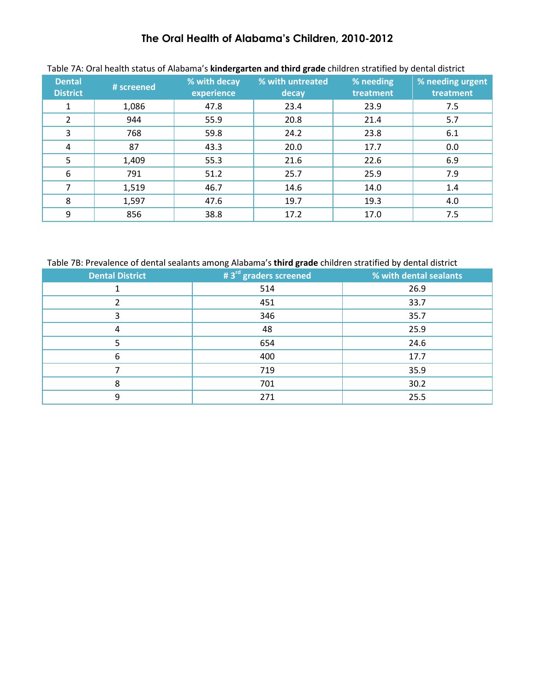| <b>Dental</b><br><b>District</b> | # screened | % with decay<br>experience | % with untreated<br>decay | % needing<br>treatment | % needing urgent<br>treatment |
|----------------------------------|------------|----------------------------|---------------------------|------------------------|-------------------------------|
|                                  | 1,086      | 47.8                       | 23.4                      | 23.9                   | 7.5                           |
| 2                                | 944        | 55.9                       | 20.8                      | 21.4                   | 5.7                           |
| 3                                | 768        | 59.8                       | 24.2                      | 23.8                   | 6.1                           |
| 4                                | 87         | 43.3                       | 20.0                      | 17.7                   | 0.0                           |
| 5                                | 1,409      | 55.3                       | 21.6                      | 22.6                   | 6.9                           |
| 6                                | 791        | 51.2                       | 25.7                      | 25.9                   | 7.9                           |
|                                  | 1,519      | 46.7                       | 14.6                      | 14.0                   | 1.4                           |
| 8                                | 1,597      | 47.6                       | 19.7                      | 19.3                   | 4.0                           |
| 9                                | 856        | 38.8                       | 17.2                      | 17.0                   | 7.5                           |

### Table 7A: Oral health status of Alabama's **kindergarten and third grade** children stratified by dental district

Table 7B: Prevalence of dental sealants among Alabama's **third grade** children stratified by dental district

| <b>Dental District</b> | # 3 <sup>rd</sup> graders screened | % with dental sealants |
|------------------------|------------------------------------|------------------------|
|                        | 514                                | 26.9                   |
|                        | 451                                | 33.7                   |
| 3                      | 346                                | 35.7                   |
| 4                      | 48                                 | 25.9                   |
| 5                      | 654                                | 24.6                   |
| 6                      | 400                                | 17.7                   |
|                        | 719                                | 35.9                   |
| 8                      | 701                                | 30.2                   |
| 9                      | 271                                | 25.5                   |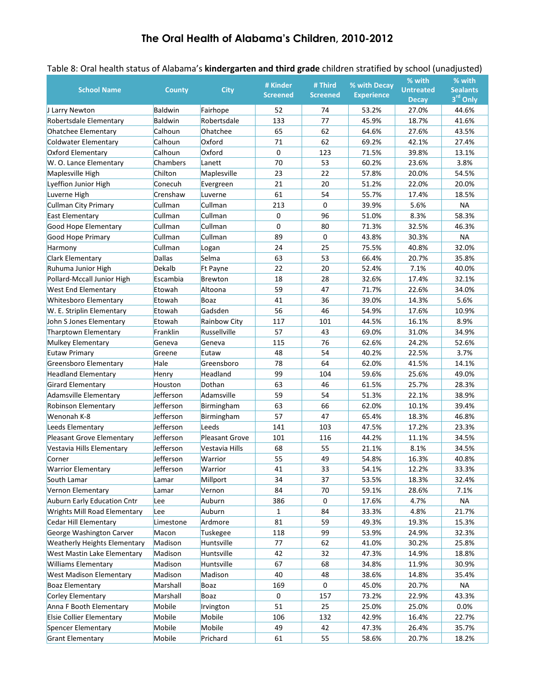|                                          |                 |                | # Kinder        | # Third         | % with Decay      | % with                           | % with                      |
|------------------------------------------|-----------------|----------------|-----------------|-----------------|-------------------|----------------------------------|-----------------------------|
| <b>School Name</b>                       | <b>County</b>   | <b>City</b>    | <b>Screened</b> | <b>Screened</b> | <b>Experience</b> | <b>Untreated</b><br><b>Decay</b> | <b>Sealants</b><br>3rd Only |
| J Larry Newton                           | Baldwin         | Fairhope       | 52              | 74              | 53.2%             | 27.0%                            | 44.6%                       |
| Robertsdale Elementary                   | <b>Baldwin</b>  | Robertsdale    | 133             | 77              | 45.9%             | 18.7%                            | 41.6%                       |
| <b>Ohatchee Elementary</b>               | Calhoun         | Ohatchee       | 65              | 62              | 64.6%             | 27.6%                            | 43.5%                       |
| <b>Coldwater Elementary</b>              | Calhoun         | Oxford         | 71              | 62              | 69.2%             | 42.1%                            | 27.4%                       |
| <b>Oxford Elementary</b>                 | Calhoun         | Oxford         | 0               | 123             | 71.5%             | 39.8%                            | 13.1%                       |
| W. O. Lance Elementary                   | <b>Chambers</b> | Lanett         | 70              | 53              | 60.2%             | 23.6%                            | 3.8%                        |
|                                          | Chilton         | Maplesville    | 23              | 22              | 57.8%             | 20.0%                            | 54.5%                       |
| Maplesville High<br>Lyeffion Junior High | Conecuh         |                | 21              | 20              | 51.2%             | 22.0%                            | 20.0%                       |
|                                          |                 | Evergreen      | 61              | 54              |                   |                                  |                             |
| Luverne High                             | Crenshaw        | Luverne        | 213             | $\mathbf 0$     | 55.7%             | 17.4%                            | 18.5%                       |
| Cullman City Primary                     | Cullman         | Cullman        |                 |                 | 39.9%             | 5.6%                             | <b>NA</b>                   |
| <b>East Elementary</b>                   | Cullman         | Cullman        | 0               | 96              | 51.0%             | 8.3%                             | 58.3%                       |
| Good Hope Elementary                     | Cullman         | Cullman        | 0               | 80              | 71.3%             | 32.5%                            | 46.3%                       |
| Good Hope Primary                        | Cullman         | Cullman        | 89              | $\mathbf 0$     | 43.8%             | 30.3%                            | NA                          |
| Harmony                                  | Cullman         | Logan          | 24              | 25              | 75.5%             | 40.8%                            | 32.0%                       |
| <b>Clark Elementary</b>                  | <b>Dallas</b>   | Selma          | 63              | 53              | 66.4%             | 20.7%                            | 35.8%                       |
| Ruhuma Junior High                       | Dekalb          | Ft Payne       | 22              | 20              | 52.4%             | 7.1%                             | 40.0%                       |
| Pollard-Mccall Junior High               | Escambia        | Brewton        | 18              | 28              | 32.6%             | 17.4%                            | 32.1%                       |
| West End Elementary                      | Etowah          | Altoona        | 59              | 47              | 71.7%             | 22.6%                            | 34.0%                       |
| <b>Whitesboro Elementary</b>             | Etowah          | Boaz           | 41              | 36              | 39.0%             | 14.3%                            | 5.6%                        |
| W. E. Striplin Elementary                | Etowah          | Gadsden        | 56              | 46              | 54.9%             | 17.6%                            | 10.9%                       |
| John S Jones Elementary                  | Etowah          | Rainbow City   | 117             | 101             | 44.5%             | 16.1%                            | 8.9%                        |
| Tharptown Elementary                     | Franklin        | Russellville   | 57              | 43              | 69.0%             | 31.0%                            | 34.9%                       |
| Mulkey Elementary                        | Geneva          | Geneva         | 115             | 76              | 62.6%             | 24.2%                            | 52.6%                       |
| <b>Eutaw Primary</b>                     | Greene          | Eutaw          | 48              | 54              | 40.2%             | 22.5%                            | 3.7%                        |
| Greensboro Elementary                    | Hale            | Greensboro     | 78              | 64              | 62.0%             | 41.5%                            | 14.1%                       |
| <b>Headland Elementary</b>               | Henry           | Headland       | 99              | 104             | 59.6%             | 25.6%                            | 49.0%                       |
| <b>Girard Elementary</b>                 | Houston         | Dothan         | 63              | 46              | 61.5%             | 25.7%                            | 28.3%                       |
| Adamsville Elementary                    | Jefferson       | Adamsville     | 59              | 54              | 51.3%             | 22.1%                            | 38.9%                       |
| Robinson Elementary                      | Jefferson       | Birmingham     | 63              | 66              | 62.0%             | 10.1%                            | 39.4%                       |
| Wenonah K-8                              | Jefferson       | Birmingham     | 57              | 47              | 65.4%             | 18.3%                            | 46.8%                       |
| Leeds Elementary                         | Jefferson       | Leeds          | 141             | 103             | 47.5%             | 17.2%                            | 23.3%                       |
| Pleasant Grove Elementary                | Jefferson       | Pleasant Grove | 101             | 116             | 44.2%             | 11.1%                            | 34.5%                       |
| Vestavia Hills Elementary                | Jefferson       | Vestavia Hills | 68              | 55              | 21.1%             | 8.1%                             | 34.5%                       |
| Corner                                   | Jefferson       | Warrior        | 55              | 49              | 54.8%             | 16.3%                            | 40.8%                       |
| <b>Warrior Elementary</b>                | Jefferson       | Warrior        | 41              | 33              | 54.1%             | 12.2%                            | 33.3%                       |
| South Lamar                              | Lamar           | Millport       | 34              | 37              | 53.5%             | 18.3%                            | 32.4%                       |
| Vernon Elementary                        | Lamar           | Vernon         | 84              | 70              | 59.1%             | 28.6%                            | 7.1%                        |
| Auburn Early Education Cntr              | Lee             | Auburn         | 386             | 0               | 17.6%             | 4.7%                             | <b>NA</b>                   |
| <b>Wrights Mill Road Elementary</b>      | Lee             | Auburn         | 1               | 84              | 33.3%             | 4.8%                             | 21.7%                       |
| Cedar Hill Elementary                    | Limestone       | Ardmore        | 81              | 59              | 49.3%             | 19.3%                            | 15.3%                       |
| George Washington Carver                 | Macon           | Tuskegee       | 118             | 99              | 53.9%             | 24.9%                            | 32.3%                       |
| <b>Weatherly Heights Elementary</b>      | Madison         | Huntsville     | 77              | 62              | 41.0%             | 30.2%                            | 25.8%                       |
| West Mastin Lake Elementary              | Madison         | Huntsville     | 42              | 32              | 47.3%             | 14.9%                            | 18.8%                       |
| <b>Williams Elementary</b>               | Madison         | Huntsville     | 67              | 68              | 34.8%             | 11.9%                            | 30.9%                       |
| <b>West Madison Elementary</b>           | Madison         | Madison        | 40              | 48              | 38.6%             | 14.8%                            | 35.4%                       |
| <b>Boaz Elementary</b>                   | Marshall        | Boaz           | 169             | 0               | 45.0%             | 20.7%                            | NA                          |
| Corley Elementary                        | Marshall        | Boaz           | 0               | 157             | 73.2%             | 22.9%                            | 43.3%                       |
| Anna F Booth Elementary                  | Mobile          | Irvington      | 51              | 25              | 25.0%             | 25.0%                            | 0.0%                        |
| <b>Elsie Collier Elementary</b>          | Mobile          | Mobile         | 106             | 132             | 42.9%             | 16.4%                            | 22.7%                       |
| Spencer Elementary                       | Mobile          | Mobile         | 49              | 42              | 47.3%             | 26.4%                            | 35.7%                       |
| <b>Grant Elementary</b>                  | Mobile          | Prichard       | 61              | 55              | 58.6%             | 20.7%                            | 18.2%                       |

### Table 8: Oral health status of Alabama's **kindergarten and third grade** children stratified by school (unadjusted)